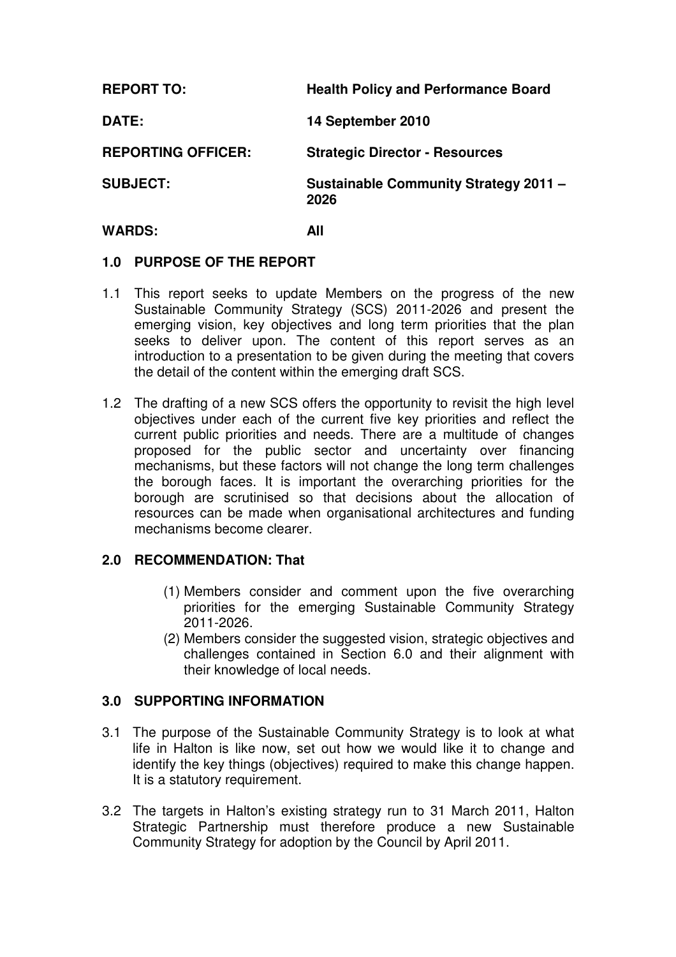| <b>REPORT TO:</b>         | <b>Health Policy and Performance Board</b>           |
|---------------------------|------------------------------------------------------|
| DATE:                     | 14 September 2010                                    |
| <b>REPORTING OFFICER:</b> | <b>Strategic Director - Resources</b>                |
| <b>SUBJECT:</b>           | <b>Sustainable Community Strategy 2011 -</b><br>2026 |

#### **WARDS: All**

#### **1.0 PURPOSE OF THE REPORT**

- 1.1 This report seeks to update Members on the progress of the new Sustainable Community Strategy (SCS) 2011-2026 and present the emerging vision, key objectives and long term priorities that the plan seeks to deliver upon. The content of this report serves as an introduction to a presentation to be given during the meeting that covers the detail of the content within the emerging draft SCS.
- 1.2 The drafting of a new SCS offers the opportunity to revisit the high level objectives under each of the current five key priorities and reflect the current public priorities and needs. There are a multitude of changes proposed for the public sector and uncertainty over financing mechanisms, but these factors will not change the long term challenges the borough faces. It is important the overarching priorities for the borough are scrutinised so that decisions about the allocation of resources can be made when organisational architectures and funding mechanisms become clearer.

#### **2.0 RECOMMENDATION: That**

- (1) Members consider and comment upon the five overarching priorities for the emerging Sustainable Community Strategy 2011-2026.
- (2) Members consider the suggested vision, strategic objectives and challenges contained in Section 6.0 and their alignment with their knowledge of local needs.

#### **3.0 SUPPORTING INFORMATION**

- 3.1 The purpose of the Sustainable Community Strategy is to look at what life in Halton is like now, set out how we would like it to change and identify the key things (objectives) required to make this change happen. It is a statutory requirement.
- 3.2 The targets in Halton's existing strategy run to 31 March 2011, Halton Strategic Partnership must therefore produce a new Sustainable Community Strategy for adoption by the Council by April 2011.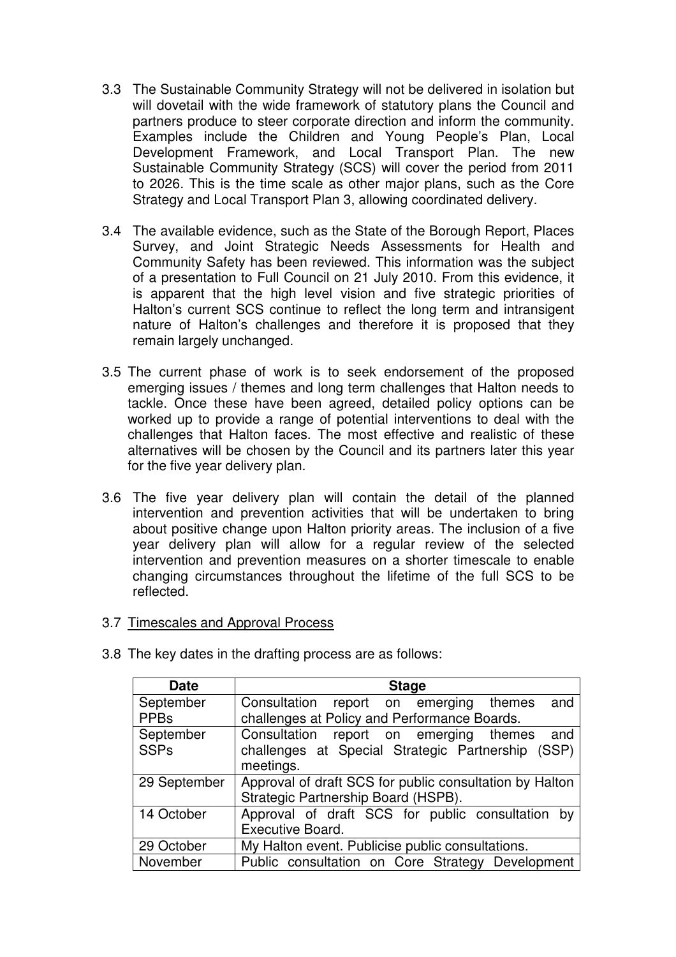- 3.3 The Sustainable Community Strategy will not be delivered in isolation but will dovetail with the wide framework of statutory plans the Council and partners produce to steer corporate direction and inform the community. Examples include the Children and Young People's Plan, Local Development Framework, and Local Transport Plan. The new Sustainable Community Strategy (SCS) will cover the period from 2011 to 2026. This is the time scale as other major plans, such as the Core Strategy and Local Transport Plan 3, allowing coordinated delivery.
- 3.4 The available evidence, such as the State of the Borough Report, Places Survey, and Joint Strategic Needs Assessments for Health and Community Safety has been reviewed. This information was the subject of a presentation to Full Council on 21 July 2010. From this evidence, it is apparent that the high level vision and five strategic priorities of Halton's current SCS continue to reflect the long term and intransigent nature of Halton's challenges and therefore it is proposed that they remain largely unchanged.
- 3.5 The current phase of work is to seek endorsement of the proposed emerging issues / themes and long term challenges that Halton needs to tackle. Once these have been agreed, detailed policy options can be worked up to provide a range of potential interventions to deal with the challenges that Halton faces. The most effective and realistic of these alternatives will be chosen by the Council and its partners later this year for the five year delivery plan.
- 3.6 The five year delivery plan will contain the detail of the planned intervention and prevention activities that will be undertaken to bring about positive change upon Halton priority areas. The inclusion of a five year delivery plan will allow for a regular review of the selected intervention and prevention measures on a shorter timescale to enable changing circumstances throughout the lifetime of the full SCS to be reflected.
- 3.7 Timescales and Approval Process

| <b>Date</b>  | <b>Stage</b>                                            |  |  |
|--------------|---------------------------------------------------------|--|--|
| September    | Consultation report on emerging themes<br>and           |  |  |
| <b>PPBs</b>  | challenges at Policy and Performance Boards.            |  |  |
| September    | Consultation report on emerging themes<br>and           |  |  |
| <b>SSPs</b>  | challenges at Special Strategic Partnership (SSP)       |  |  |
|              | meetings.                                               |  |  |
| 29 September | Approval of draft SCS for public consultation by Halton |  |  |
|              | Strategic Partnership Board (HSPB).                     |  |  |
| 14 October   | Approval of draft SCS for public consultation<br>– bv   |  |  |
|              | Executive Board.                                        |  |  |
| 29 October   | My Halton event. Publicise public consultations.        |  |  |
| November     | Public consultation on Core Strategy Development        |  |  |

3.8 The key dates in the drafting process are as follows: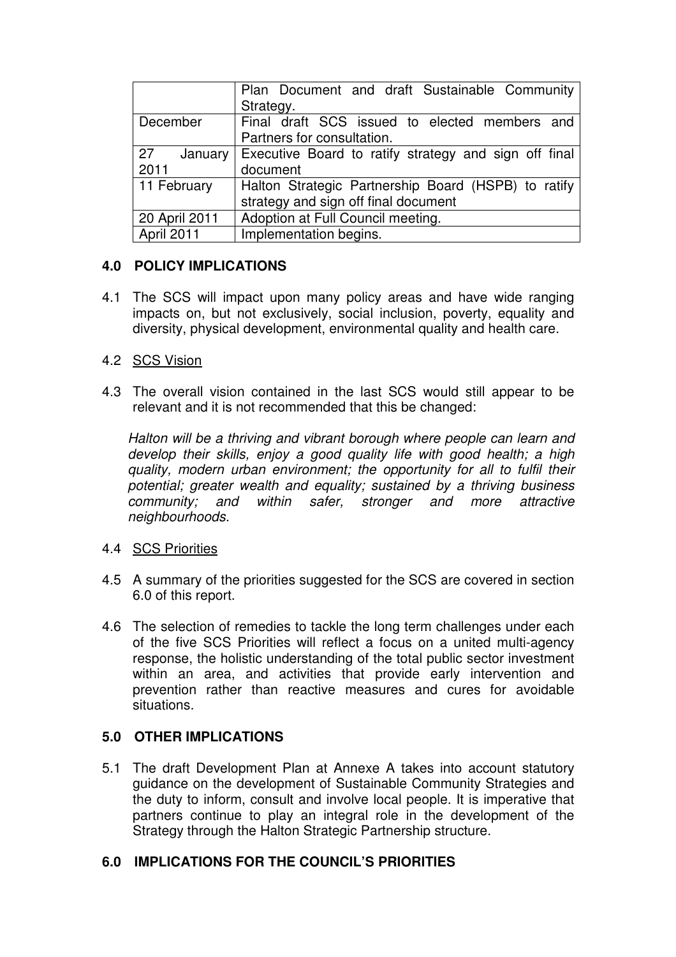|                       | Plan Document and draft Sustainable Community<br>Strategy.                                  |
|-----------------------|---------------------------------------------------------------------------------------------|
| December              | Final draft SCS issued to elected members and<br>Partners for consultation.                 |
| 27<br>January<br>2011 | Executive Board to ratify strategy and sign off final<br>document                           |
| 11 February           | Halton Strategic Partnership Board (HSPB) to ratify<br>strategy and sign off final document |
| 20 April 2011         | Adoption at Full Council meeting.                                                           |
| April 2011            | Implementation begins.                                                                      |

## **4.0 POLICY IMPLICATIONS**

4.1 The SCS will impact upon many policy areas and have wide ranging impacts on, but not exclusively, social inclusion, poverty, equality and diversity, physical development, environmental quality and health care.

## 4.2 SCS Vision

4.3 The overall vision contained in the last SCS would still appear to be relevant and it is not recommended that this be changed:

Halton will be a thriving and vibrant borough where people can learn and develop their skills, enjoy a good quality life with good health; a high quality, modern urban environment; the opportunity for all to fulfil their potential; greater wealth and equality; sustained by a thriving business community; and within safer, stronger and more attractive neighbourhoods.

## 4.4 SCS Priorities

- 4.5 A summary of the priorities suggested for the SCS are covered in section 6.0 of this report.
- 4.6 The selection of remedies to tackle the long term challenges under each of the five SCS Priorities will reflect a focus on a united multi-agency response, the holistic understanding of the total public sector investment within an area, and activities that provide early intervention and prevention rather than reactive measures and cures for avoidable situations.

## **5.0 OTHER IMPLICATIONS**

5.1 The draft Development Plan at Annexe A takes into account statutory guidance on the development of Sustainable Community Strategies and the duty to inform, consult and involve local people. It is imperative that partners continue to play an integral role in the development of the Strategy through the Halton Strategic Partnership structure.

# **6.0 IMPLICATIONS FOR THE COUNCIL'S PRIORITIES**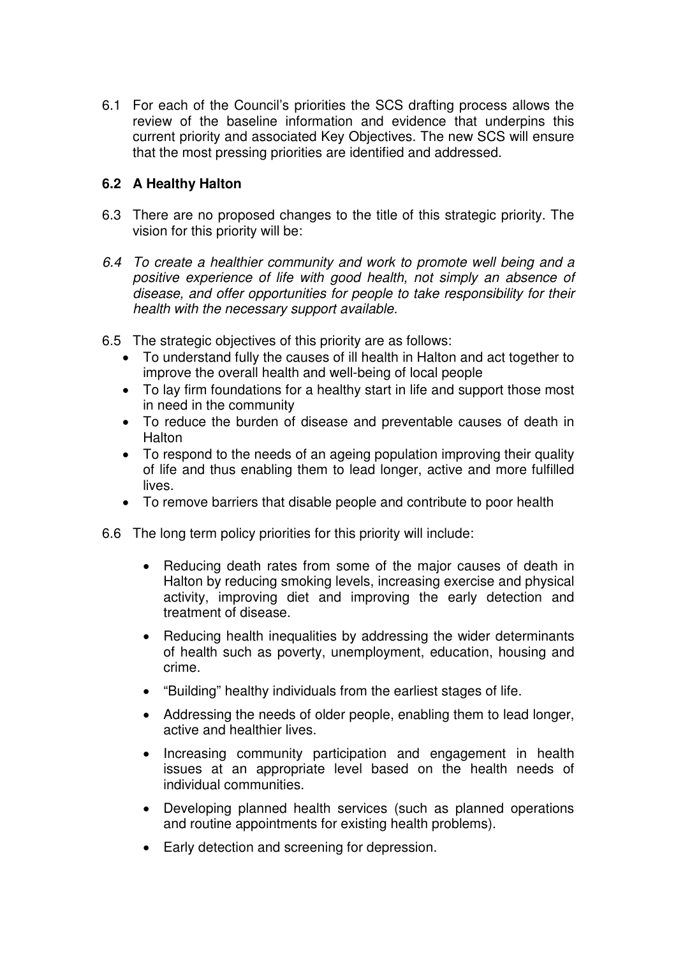6.1 For each of the Council's priorities the SCS drafting process allows the review of the baseline information and evidence that underpins this current priority and associated Key Objectives. The new SCS will ensure that the most pressing priorities are identified and addressed.

#### **6.2 A Healthy Halton**

- 6.3 There are no proposed changes to the title of this strategic priority. The vision for this priority will be:
- 6.4 To create a healthier community and work to promote well being and a positive experience of life with good health, not simply an absence of disease, and offer opportunities for people to take responsibility for their health with the necessary support available.
- 6.5 The strategic objectives of this priority are as follows:
	- To understand fully the causes of ill health in Halton and act together to improve the overall health and well-being of local people
	- To lay firm foundations for a healthy start in life and support those most in need in the community
	- To reduce the burden of disease and preventable causes of death in **Halton**
	- To respond to the needs of an ageing population improving their quality of life and thus enabling them to lead longer, active and more fulfilled lives.
	- To remove barriers that disable people and contribute to poor health
- 6.6 The long term policy priorities for this priority will include:
	- Reducing death rates from some of the major causes of death in Halton by reducing smoking levels, increasing exercise and physical activity, improving diet and improving the early detection and treatment of disease.
	- Reducing health inequalities by addressing the wider determinants of health such as poverty, unemployment, education, housing and crime.
	- "Building" healthy individuals from the earliest stages of life.
	- Addressing the needs of older people, enabling them to lead longer, active and healthier lives.
	- Increasing community participation and engagement in health issues at an appropriate level based on the health needs of individual communities.
	- Developing planned health services (such as planned operations and routine appointments for existing health problems).
	- Early detection and screening for depression.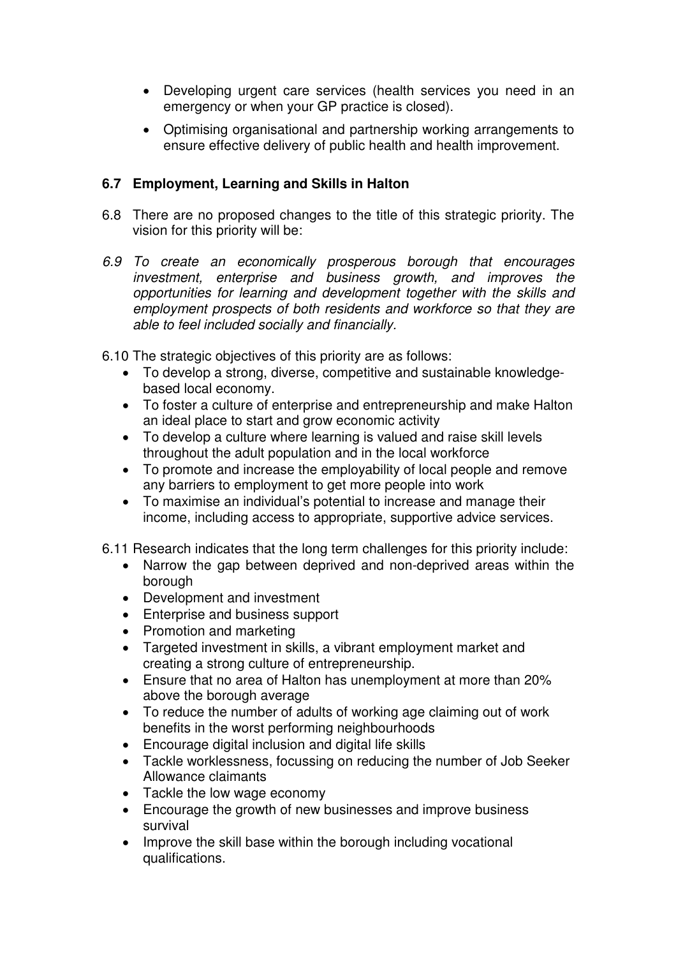- Developing urgent care services (health services you need in an emergency or when your GP practice is closed).
- Optimising organisational and partnership working arrangements to ensure effective delivery of public health and health improvement.

## **6.7 Employment, Learning and Skills in Halton**

- 6.8 There are no proposed changes to the title of this strategic priority. The vision for this priority will be:
- 6.9 To create an economically prosperous borough that encourages investment, enterprise and business growth, and improves the opportunities for learning and development together with the skills and employment prospects of both residents and workforce so that they are able to feel included socially and financially.

6.10 The strategic objectives of this priority are as follows:

- To develop a strong, diverse, competitive and sustainable knowledgebased local economy.
- To foster a culture of enterprise and entrepreneurship and make Halton an ideal place to start and grow economic activity
- To develop a culture where learning is valued and raise skill levels throughout the adult population and in the local workforce
- To promote and increase the employability of local people and remove any barriers to employment to get more people into work
- To maximise an individual's potential to increase and manage their income, including access to appropriate, supportive advice services.
- 6.11 Research indicates that the long term challenges for this priority include:
	- Narrow the gap between deprived and non-deprived areas within the borough
	- Development and investment
	- Enterprise and business support
	- Promotion and marketing
	- Targeted investment in skills, a vibrant employment market and creating a strong culture of entrepreneurship.
	- Ensure that no area of Halton has unemployment at more than 20% above the borough average
	- To reduce the number of adults of working age claiming out of work benefits in the worst performing neighbourhoods
	- Encourage digital inclusion and digital life skills
	- Tackle worklessness, focussing on reducing the number of Job Seeker Allowance claimants
	- Tackle the low wage economy
	- Encourage the growth of new businesses and improve business survival
	- Improve the skill base within the borough including vocational qualifications.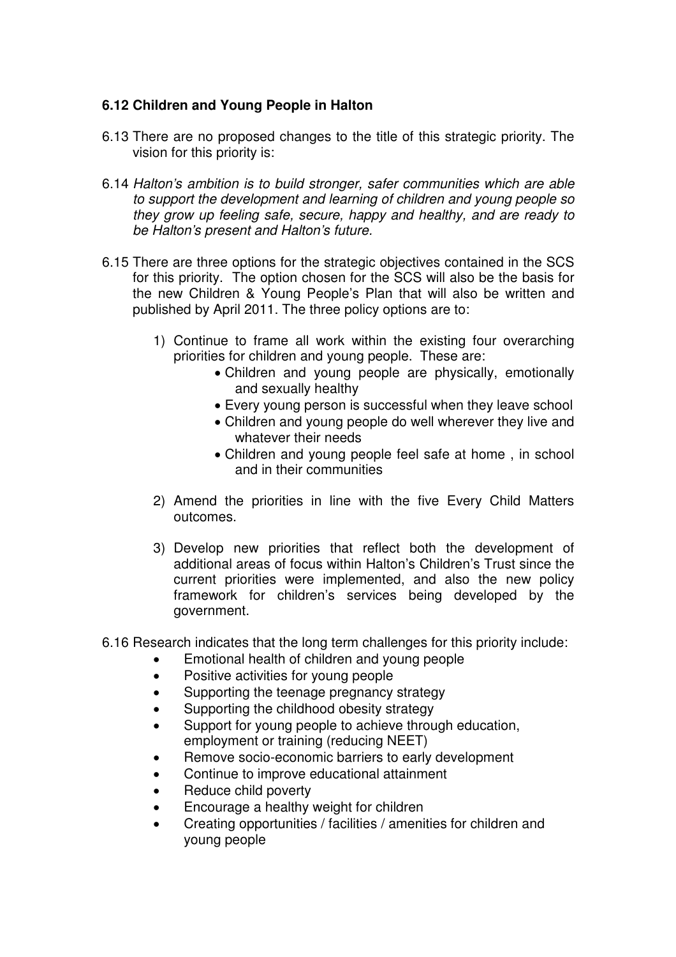#### **6.12 Children and Young People in Halton**

- 6.13 There are no proposed changes to the title of this strategic priority. The vision for this priority is:
- 6.14 Halton's ambition is to build stronger, safer communities which are able to support the development and learning of children and young people so they grow up feeling safe, secure, happy and healthy, and are ready to be Halton's present and Halton's future.
- 6.15 There are three options for the strategic objectives contained in the SCS for this priority. The option chosen for the SCS will also be the basis for the new Children & Young People's Plan that will also be written and published by April 2011. The three policy options are to:
	- 1) Continue to frame all work within the existing four overarching priorities for children and young people. These are:
		- Children and young people are physically, emotionally and sexually healthy
		- Every young person is successful when they leave school
		- Children and young people do well wherever they live and whatever their needs
		- Children and young people feel safe at home , in school and in their communities
	- 2) Amend the priorities in line with the five Every Child Matters outcomes.
	- 3) Develop new priorities that reflect both the development of additional areas of focus within Halton's Children's Trust since the current priorities were implemented, and also the new policy framework for children's services being developed by the government.
- 6.16 Research indicates that the long term challenges for this priority include:
	- Emotional health of children and young people
	- Positive activities for young people
	- Supporting the teenage pregnancy strategy
	- Supporting the childhood obesity strategy
	- Support for young people to achieve through education, employment or training (reducing NEET)
	- Remove socio-economic barriers to early development
	- Continue to improve educational attainment
	- Reduce child poverty
	- Encourage a healthy weight for children
	- Creating opportunities / facilities / amenities for children and young people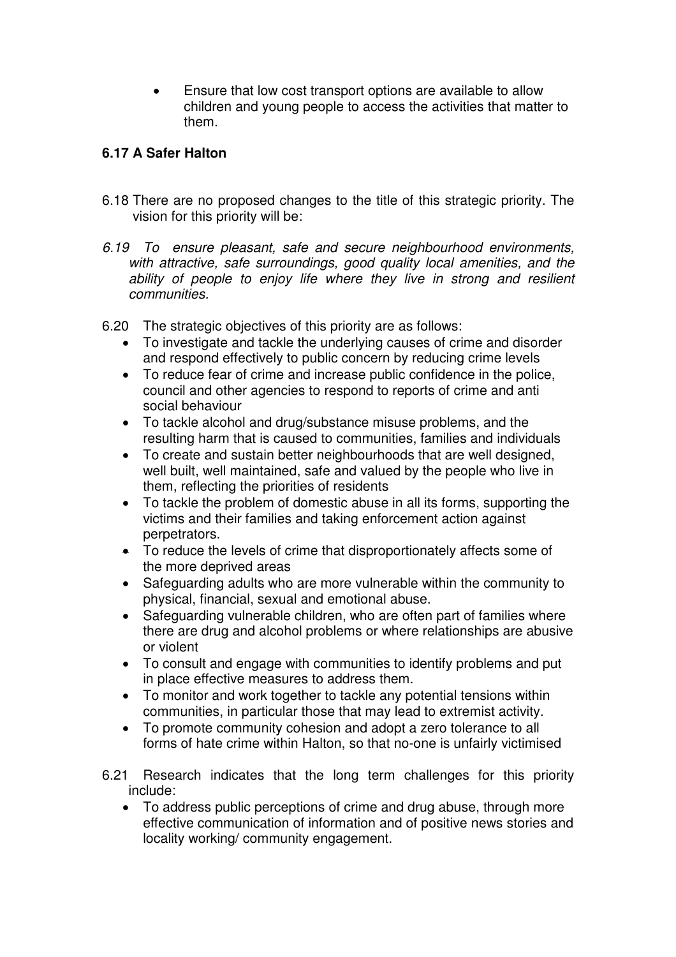• Ensure that low cost transport options are available to allow children and young people to access the activities that matter to them.

## **6.17 A Safer Halton**

- 6.18 There are no proposed changes to the title of this strategic priority. The vision for this priority will be:
- 6.19 To ensure pleasant, safe and secure neighbourhood environments, with attractive, safe surroundings, good quality local amenities, and the ability of people to enjoy life where they live in strong and resilient communities.
- 6.20 The strategic objectives of this priority are as follows:
	- To investigate and tackle the underlying causes of crime and disorder and respond effectively to public concern by reducing crime levels
	- To reduce fear of crime and increase public confidence in the police, council and other agencies to respond to reports of crime and anti social behaviour
	- To tackle alcohol and drug/substance misuse problems, and the resulting harm that is caused to communities, families and individuals
	- To create and sustain better neighbourhoods that are well designed, well built, well maintained, safe and valued by the people who live in them, reflecting the priorities of residents
	- To tackle the problem of domestic abuse in all its forms, supporting the victims and their families and taking enforcement action against perpetrators.
	- To reduce the levels of crime that disproportionately affects some of the more deprived areas
	- Safeguarding adults who are more vulnerable within the community to physical, financial, sexual and emotional abuse.
	- Safeguarding vulnerable children, who are often part of families where there are drug and alcohol problems or where relationships are abusive or violent
	- To consult and engage with communities to identify problems and put in place effective measures to address them.
	- To monitor and work together to tackle any potential tensions within communities, in particular those that may lead to extremist activity.
	- To promote community cohesion and adopt a zero tolerance to all forms of hate crime within Halton, so that no-one is unfairly victimised
- 6.21 Research indicates that the long term challenges for this priority include:
	- To address public perceptions of crime and drug abuse, through more effective communication of information and of positive news stories and locality working/ community engagement.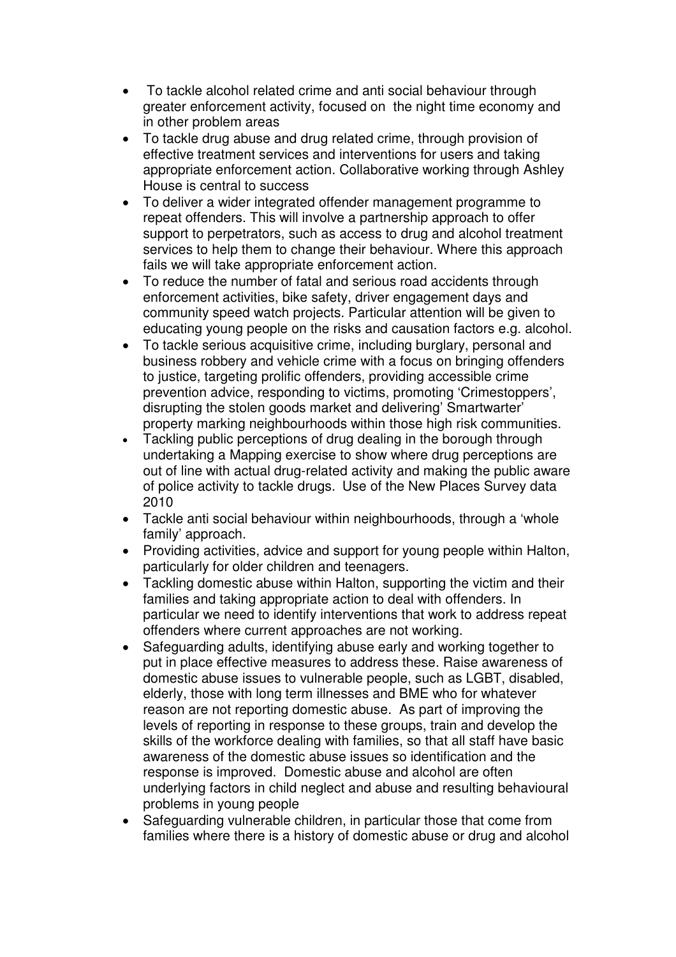- To tackle alcohol related crime and anti social behaviour through greater enforcement activity, focused on the night time economy and in other problem areas
- To tackle drug abuse and drug related crime, through provision of effective treatment services and interventions for users and taking appropriate enforcement action. Collaborative working through Ashley House is central to success
- To deliver a wider integrated offender management programme to repeat offenders. This will involve a partnership approach to offer support to perpetrators, such as access to drug and alcohol treatment services to help them to change their behaviour. Where this approach fails we will take appropriate enforcement action.
- To reduce the number of fatal and serious road accidents through enforcement activities, bike safety, driver engagement days and community speed watch projects. Particular attention will be given to educating young people on the risks and causation factors e.g. alcohol.
- To tackle serious acquisitive crime, including burglary, personal and business robbery and vehicle crime with a focus on bringing offenders to justice, targeting prolific offenders, providing accessible crime prevention advice, responding to victims, promoting 'Crimestoppers', disrupting the stolen goods market and delivering' Smartwarter' property marking neighbourhoods within those high risk communities.
- Tackling public perceptions of drug dealing in the borough through undertaking a Mapping exercise to show where drug perceptions are out of line with actual drug-related activity and making the public aware of police activity to tackle drugs. Use of the New Places Survey data 2010
- Tackle anti social behaviour within neighbourhoods, through a 'whole family' approach.
- Providing activities, advice and support for young people within Halton, particularly for older children and teenagers.
- Tackling domestic abuse within Halton, supporting the victim and their families and taking appropriate action to deal with offenders. In particular we need to identify interventions that work to address repeat offenders where current approaches are not working.
- Safeguarding adults, identifying abuse early and working together to put in place effective measures to address these. Raise awareness of domestic abuse issues to vulnerable people, such as LGBT, disabled, elderly, those with long term illnesses and BME who for whatever reason are not reporting domestic abuse. As part of improving the levels of reporting in response to these groups, train and develop the skills of the workforce dealing with families, so that all staff have basic awareness of the domestic abuse issues so identification and the response is improved. Domestic abuse and alcohol are often underlying factors in child neglect and abuse and resulting behavioural problems in young people
- Safeguarding vulnerable children, in particular those that come from families where there is a history of domestic abuse or drug and alcohol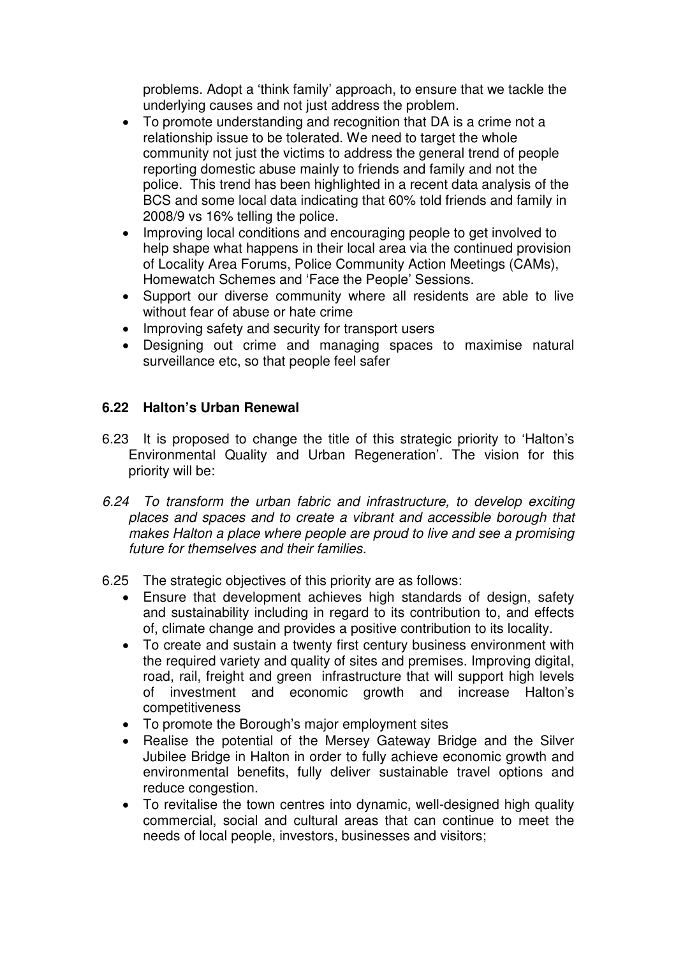problems. Adopt a 'think family' approach, to ensure that we tackle the underlying causes and not just address the problem.

- To promote understanding and recognition that DA is a crime not a relationship issue to be tolerated. We need to target the whole community not just the victims to address the general trend of people reporting domestic abuse mainly to friends and family and not the police. This trend has been highlighted in a recent data analysis of the BCS and some local data indicating that 60% told friends and family in 2008/9 vs 16% telling the police.
- Improving local conditions and encouraging people to get involved to help shape what happens in their local area via the continued provision of Locality Area Forums, Police Community Action Meetings (CAMs), Homewatch Schemes and 'Face the People' Sessions.
- Support our diverse community where all residents are able to live without fear of abuse or hate crime
- Improving safety and security for transport users
- Designing out crime and managing spaces to maximise natural surveillance etc, so that people feel safer

# **6.22 Halton's Urban Renewal**

- 6.23 It is proposed to change the title of this strategic priority to 'Halton's Environmental Quality and Urban Regeneration'. The vision for this priority will be:
- 6.24 To transform the urban fabric and infrastructure, to develop exciting places and spaces and to create a vibrant and accessible borough that makes Halton a place where people are proud to live and see a promising future for themselves and their families.
- 6.25 The strategic objectives of this priority are as follows:
	- Ensure that development achieves high standards of design, safety and sustainability including in regard to its contribution to, and effects of, climate change and provides a positive contribution to its locality.
	- To create and sustain a twenty first century business environment with the required variety and quality of sites and premises. Improving digital, road, rail, freight and green infrastructure that will support high levels of investment and economic growth and increase Halton's competitiveness
	- To promote the Borough's major employment sites
	- Realise the potential of the Mersey Gateway Bridge and the Silver Jubilee Bridge in Halton in order to fully achieve economic growth and environmental benefits, fully deliver sustainable travel options and reduce congestion.
	- To revitalise the town centres into dynamic, well-designed high quality commercial, social and cultural areas that can continue to meet the needs of local people, investors, businesses and visitors;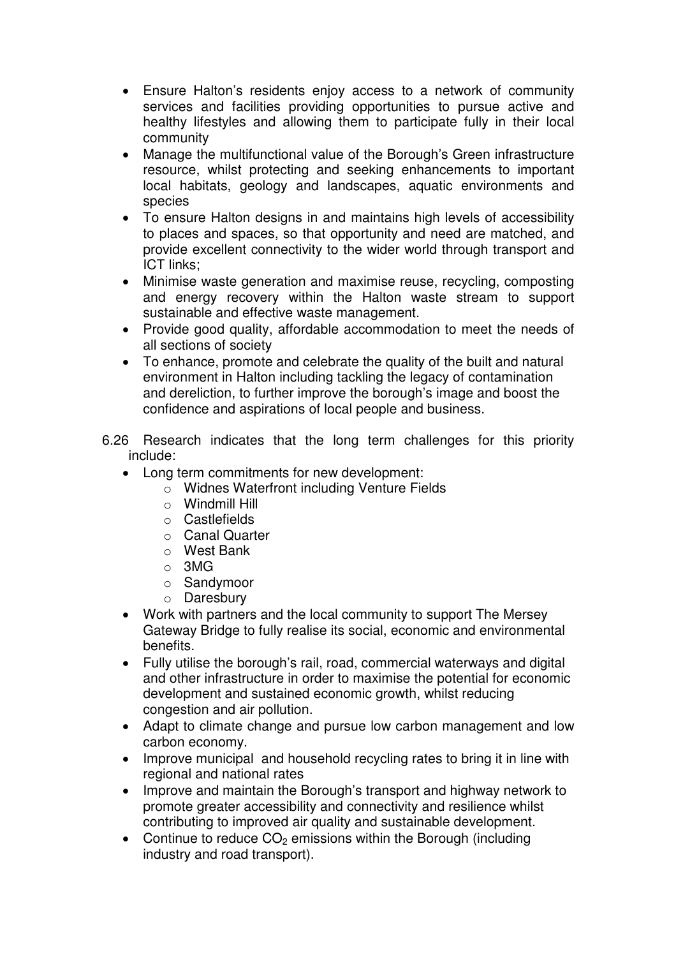- Ensure Halton's residents enjoy access to a network of community services and facilities providing opportunities to pursue active and healthy lifestyles and allowing them to participate fully in their local community
- Manage the multifunctional value of the Borough's Green infrastructure resource, whilst protecting and seeking enhancements to important local habitats, geology and landscapes, aquatic environments and species
- To ensure Halton designs in and maintains high levels of accessibility to places and spaces, so that opportunity and need are matched, and provide excellent connectivity to the wider world through transport and ICT links;
- Minimise waste generation and maximise reuse, recycling, composting and energy recovery within the Halton waste stream to support sustainable and effective waste management.
- Provide good quality, affordable accommodation to meet the needs of all sections of society
- To enhance, promote and celebrate the quality of the built and natural environment in Halton including tackling the legacy of contamination and dereliction, to further improve the borough's image and boost the confidence and aspirations of local people and business.
- 6.26 Research indicates that the long term challenges for this priority include:
	- Long term commitments for new development:
		- o Widnes Waterfront including Venture Fields
		- o Windmill Hill
		- o Castlefields
		- o Canal Quarter
		- o West Bank
		- o 3MG
		- o Sandymoor
		- o Daresbury
	- Work with partners and the local community to support The Mersey Gateway Bridge to fully realise its social, economic and environmental benefits.
	- Fully utilise the borough's rail, road, commercial waterways and digital and other infrastructure in order to maximise the potential for economic development and sustained economic growth, whilst reducing congestion and air pollution.
	- Adapt to climate change and pursue low carbon management and low carbon economy.
	- Improve municipal and household recycling rates to bring it in line with regional and national rates
	- Improve and maintain the Borough's transport and highway network to promote greater accessibility and connectivity and resilience whilst contributing to improved air quality and sustainable development.
	- Continue to reduce  $CO<sub>2</sub>$  emissions within the Borough (including industry and road transport).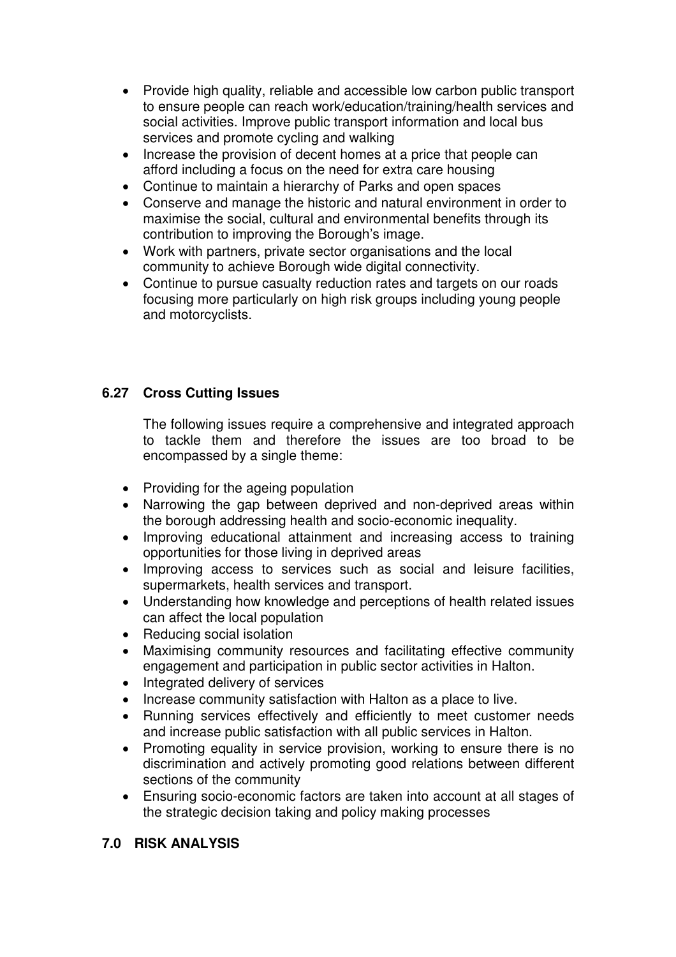- Provide high quality, reliable and accessible low carbon public transport to ensure people can reach work/education/training/health services and social activities. Improve public transport information and local bus services and promote cycling and walking
- Increase the provision of decent homes at a price that people can afford including a focus on the need for extra care housing
- Continue to maintain a hierarchy of Parks and open spaces
- Conserve and manage the historic and natural environment in order to maximise the social, cultural and environmental benefits through its contribution to improving the Borough's image.
- Work with partners, private sector organisations and the local community to achieve Borough wide digital connectivity.
- Continue to pursue casualty reduction rates and targets on our roads focusing more particularly on high risk groups including young people and motorcyclists.

# **6.27 Cross Cutting Issues**

The following issues require a comprehensive and integrated approach to tackle them and therefore the issues are too broad to be encompassed by a single theme:

- Providing for the ageing population
- Narrowing the gap between deprived and non-deprived areas within the borough addressing health and socio-economic inequality.
- Improving educational attainment and increasing access to training opportunities for those living in deprived areas
- Improving access to services such as social and leisure facilities, supermarkets, health services and transport.
- Understanding how knowledge and perceptions of health related issues can affect the local population
- Reducing social isolation
- Maximising community resources and facilitating effective community engagement and participation in public sector activities in Halton.
- Integrated delivery of services
- Increase community satisfaction with Halton as a place to live.
- Running services effectively and efficiently to meet customer needs and increase public satisfaction with all public services in Halton.
- Promoting equality in service provision, working to ensure there is no discrimination and actively promoting good relations between different sections of the community
- Ensuring socio-economic factors are taken into account at all stages of the strategic decision taking and policy making processes

## **7.0 RISK ANALYSIS**